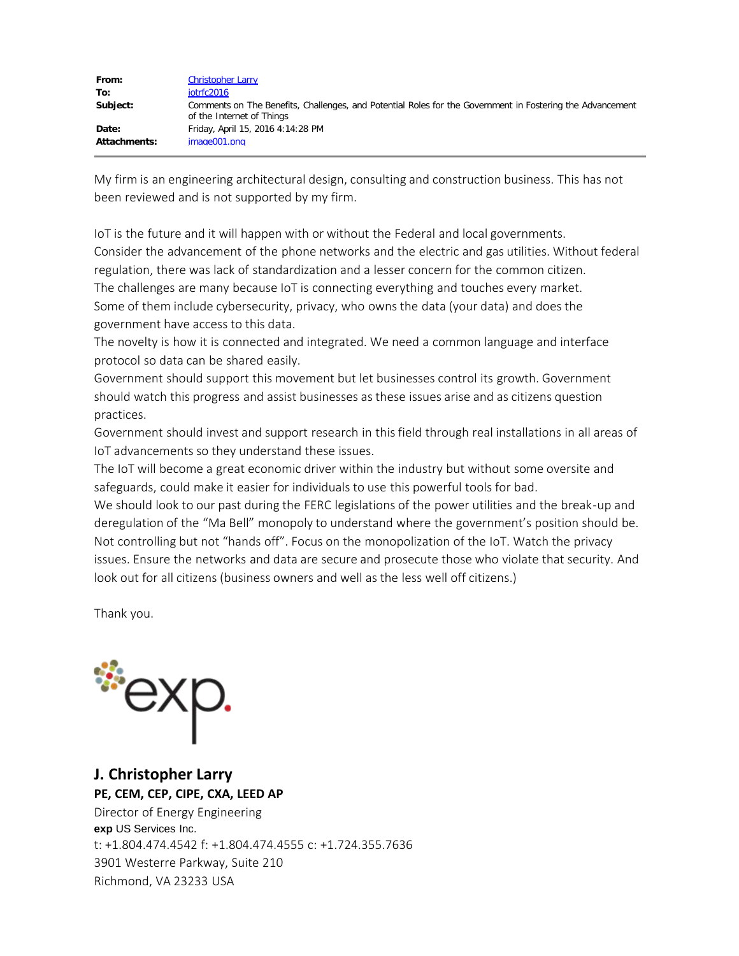| From:        | <b>Christopher Larry</b>                                                                                                               |
|--------------|----------------------------------------------------------------------------------------------------------------------------------------|
| To:          | iotrfc2016                                                                                                                             |
| Subject:     | Comments on The Benefits, Challenges, and Potential Roles for the Government in Fostering the Advancement<br>of the Internet of Things |
| Date:        | Friday, April 15, 2016 4:14:28 PM                                                                                                      |
| Attachments: | image001.png                                                                                                                           |

My firm is an engineering architectural design, consulting and construction business. This has not been reviewed and is not supported by my firm.

IoT is the future and it will happen with or without the Federal and local governments. Consider the advancement of the phone networks and the electric and gas utilities. Without federal regulation, there was lack of standardization and a lesser concern for the common citizen. The challenges are many because IoT is connecting everything and touches every market. Some of them include cybersecurity, privacy, who owns the data (your data) and does the government have access to this data.

The novelty is how it is connected and integrated. We need a common language and interface protocol so data can be shared easily.

Government should support this movement but let businesses control its growth. Government should watch this progress and assist businesses as these issues arise and as citizens question practices.

Government should invest and support research in this field through real installations in all areas of IoT advancements so they understand these issues.

The IoT will become a great economic driver within the industry but without some oversite and safeguards, could make it easier for individuals to use this powerful tools for bad.

We should look to our past during the FERC legislations of the power utilities and the break-up and deregulation of the "Ma Bell" monopoly to understand where the government's position should be. Not controlling but not "hands off". Focus on the monopolization of the IoT. Watch the privacy issues. Ensure the networks and data are secure and prosecute those who violate that security. And look out for all citizens (business owners and well as the less well off citizens.)

Thank you.



**J. Christopher Larry PE, CEM, CEP, CIPE, CXA, LEED AP**

Director of Energy Engineering **exp** US Services Inc. t: +1.804.474.4542 f: +1.804.474.4555 c: +1.724.355.7636 3901 Westerre Parkway, Suite 210 Richmond, VA 23233 USA